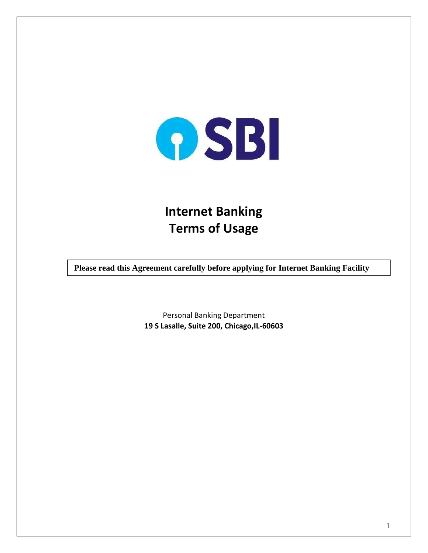

# **Internet Banking Terms of Usage**

**Please read this Agreement carefully before applying for Internet Banking Facility**

Personal Banking Department **19 S Lasalle, Suite 200, Chicago,IL-60603**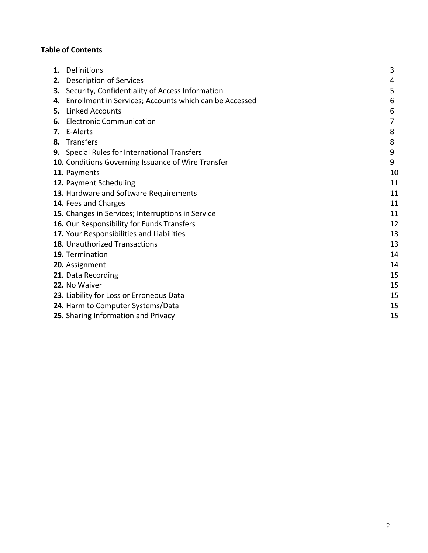# **Table of Contents**

| 1. | Definitions                                            | 3  |
|----|--------------------------------------------------------|----|
| 2. | <b>Description of Services</b>                         | 4  |
| З. | Security, Confidentiality of Access Information        | 5  |
| 4. | Enrollment in Services; Accounts which can be Accessed | 6  |
| 5. | <b>Linked Accounts</b>                                 | 6  |
| 6. | <b>Electronic Communication</b>                        | 7  |
|    | 7. E-Alerts                                            | 8  |
| 8. | Transfers                                              | 8  |
|    | 9. Special Rules for International Transfers           | 9  |
|    | 10. Conditions Governing Issuance of Wire Transfer     | 9  |
|    | 11. Payments                                           | 10 |
|    | 12. Payment Scheduling                                 | 11 |
|    | 13. Hardware and Software Requirements                 | 11 |
|    | 14. Fees and Charges                                   | 11 |
|    | 15. Changes in Services; Interruptions in Service      | 11 |
|    | 16. Our Responsibility for Funds Transfers             | 12 |
|    | 17. Your Responsibilities and Liabilities              | 13 |
|    | 18. Unauthorized Transactions                          | 13 |
|    | 19. Termination                                        | 14 |
|    | 20. Assignment                                         | 14 |
|    | 21. Data Recording                                     | 15 |
|    | 22. No Waiver                                          | 15 |
|    | 23. Liability for Loss or Erroneous Data               | 15 |
|    | 24. Harm to Computer Systems/Data                      | 15 |
|    | 25. Sharing Information and Privacy                    | 15 |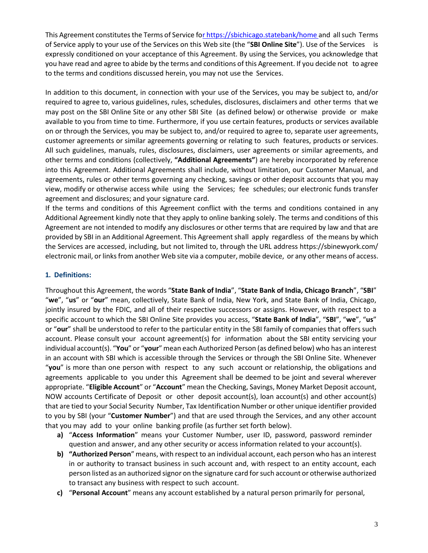This Agreement constitutes the Terms of Service f[or https://sbichicago.statebank/home a](file:///C:/Users/APB1/Downloads/r%20https:/sbichicago.statebank/home)nd all such Terms of Service apply to your use of the Services on this Web site (the "**SBI Online Site**"). Use of the Services is expressly conditioned on your acceptance of this Agreement. By using the Services, you acknowledge that you have read and agree to abide by the terms and conditions of this Agreement. If you decide not to agree to the terms and conditions discussed herein, you may not use the Services.

In addition to this document, in connection with your use of the Services, you may be subject to, and/or required to agree to, various guidelines, rules, schedules, disclosures, disclaimers and other terms that we may post on the SBI Online Site or any other SBI Site (as defined below) or otherwise provide or make available to you from time to time. Furthermore, if you use certain features, products or services available on or through the Services, you may be subject to, and/or required to agree to, separate user agreements, customer agreements or similar agreements governing or relating to such features, products or services. All such guidelines, manuals, rules, disclosures, disclaimers, user agreements or similar agreements, and other terms and conditions (collectively, **"Additional Agreements"**) are hereby incorporated by reference into this Agreement. Additional Agreements shall include, without limitation, our Customer Manual, and agreements, rules or other terms governing any checking, savings or other deposit accounts that you may view, modify or otherwise access while using the Services; fee schedules; our electronic funds transfer agreement and disclosures; and your signature card.

If the terms and conditions of this Agreement conflict with the terms and conditions contained in any Additional Agreement kindly note that they apply to online banking solely. The terms and conditions of this Agreement are not intended to modify any disclosures or other terms that are required by law and that are provided by SBI in an Additional Agreement. This Agreement shall apply regardless of the means by which the Services are accessed, including, but not limited to, through the URL address https://sbinewyork.com/ electronic mail, or links from another Web site via a computer, mobile device, or any other means of access.

# <span id="page-2-0"></span>**1. Definitions:**

Throughout this Agreement, the words "**State Bank of India**", "**State Bank of India, Chicago Branch**", "**SBI**" "**we**", "**us**" or "**our**" mean, collectively, State Bank of India, New York, and State Bank of India, Chicago, jointly insured by the FDIC, and all of their respective successors or assigns. However, with respect to a specific account to which the SBI Online Site provides you access, "**State Bank of India**", "**SBI**", "**we**", "**us**" or "**our**" shall be understood to refer to the particular entity in the SBI family of companies that offers such account. Please consult your account agreement(s) for information about the SBI entity servicing your individual account(s). "**You**" or "**your**" mean each Authorized Person (as defined below) who has an interest in an account with SBI which is accessible through the Services or through the SBI Online Site. Whenever "**you**" is more than one person with respect to any such account or relationship, the obligations and agreements applicable to you under this Agreement shall be deemed to be joint and several wherever appropriate. "**Eligible Account**" or "**Account**" mean the Checking, Savings, Money Market Deposit account, NOW accounts Certificate of Deposit or other deposit account(s), loan account(s) and other account(s) that are tied to your Social Security Number, Tax Identification Number or other unique identifier provided to you by SBI (your "**Customer Number**") and that are used through the Services, and any other account that you may add to your online banking profile (as further set forth below).

- **a)** "**Access Information**" means your Customer Number, user ID, password, password reminder question and answer, and any other security or access information related to your account(s).
- **b) "Authorized Person**" means, with respect to an individual account, each person who has an interest in or authority to transact business in such account and, with respect to an entity account, each person listed as an authorized signor on the signature card for such account or otherwise authorized to transact any business with respect to such account.
- **c)** "**Personal Account**" means any account established by a natural person primarily for personal,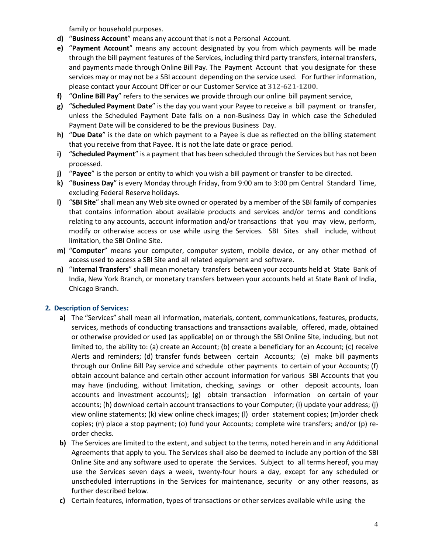family or household purposes.

- **d)** "**Business Account**" means any account that is not a Personal Account.
- **e)** "**Payment Account**" means any account designated by you from which payments will be made through the bill payment features of the Services, including third party transfers, internal transfers, and payments made through Online Bill Pay. The Payment Account that you designate for these services may or may not be a SBI account depending on the service used. For further information, please contact your Account Officer or our Customer Service at **312-621-1200.**
- **f)** "**Online Bill Pay**" refers to the services we provide through our online bill payment service,
- **g)** "**Scheduled Payment Date**" is the day you want your Payee to receive a bill payment or transfer, unless the Scheduled Payment Date falls on a non-Business Day in which case the Scheduled Payment Date will be considered to be the previous Business Day.
- **h)** "**Due Date**" is the date on which payment to a Payee is due as reflected on the billing statement that you receive from that Payee. It is not the late date or grace period.
- **i)** "**Scheduled Payment**" is a payment that has been scheduled through the Services but has not been processed.
- **j)** "**Payee**" is the person or entity to which you wish a bill payment or transfer to be directed.
- **k)** "**Business Day**" is every Monday through Friday, from 9:00 am to 3:00 pm Central Standard Time, excluding Federal Reserve holidays.
- **l)** "**SBI Site**" shall mean any Web site owned or operated by a member of the SBI family of companies that contains information about available products and services and/or terms and conditions relating to any accounts, account information and/or transactions that you may view, perform, modify or otherwise access or use while using the Services. SBI Sites shall include, without limitation, the SBI Online Site.
- **m)** "**Computer**" means your computer, computer system, mobile device, or any other method of access used to access a SBI Site and all related equipment and software.
- **n)** "**Internal Transfers**" shall mean monetary transfers between your accounts held at State Bank of India, New York Branch, or monetary transfers between your accounts held at State Bank of India, Chicago Branch.

# <span id="page-3-0"></span>**2. Description of Services:**

- **a)** The "Services" shall mean all information, materials, content, communications, features, products, services, methods of conducting transactions and transactions available, offered, made, obtained or otherwise provided or used (as applicable) on or through the SBI Online Site, including, but not limited to, the ability to: (a) create an Account; (b) create a beneficiary for an Account; (c) receive Alerts and reminders; (d) transfer funds between certain Accounts; (e) make bill payments through our Online Bill Pay service and schedule other payments to certain of your Accounts; (f) obtain account balance and certain other account information for various SBI Accounts that you may have (including, without limitation, checking, savings or other deposit accounts, loan accounts and investment accounts); (g) obtain transaction information on certain of your accounts; (h) download certain account transactions to your Computer; (i) update your address; (j) view online statements; (k) view online check images; (l) order statement copies; (m)order check copies; (n) place a stop payment; (o) fund your Accounts; complete wire transfers; and/or (p) reorder checks.
- **b)** The Services are limited to the extent, and subject to the terms, noted herein and in any Additional Agreements that apply to you. The Services shall also be deemed to include any portion of the SBI Online Site and any software used to operate the Services. Subject to all terms hereof, you may use the Services seven days a week, twenty-four hours a day, except for any scheduled or unscheduled interruptions in the Services for maintenance, security or any other reasons, as further described below.
- **c)** Certain features, information, types of transactions or other services available while using the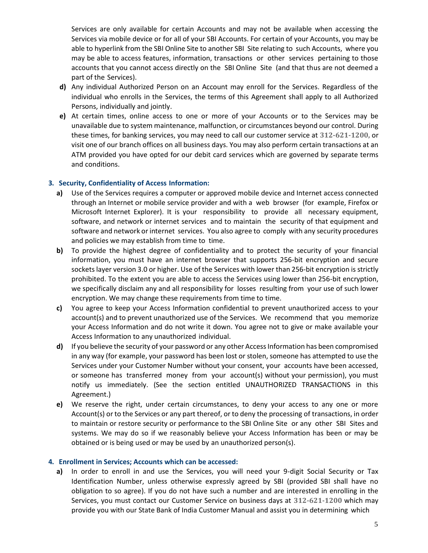Services are only available for certain Accounts and may not be available when accessing the Services via mobile device or for all of your SBI Accounts. For certain of your Accounts, you may be able to hyperlink from the SBI Online Site to another SBI Site relating to such Accounts, where you may be able to access features, information, transactions or other services pertaining to those accounts that you cannot access directly on the SBI Online Site (and that thus are not deemed a part of the Services).

- **d)** Any individual Authorized Person on an Account may enroll for the Services. Regardless of the individual who enrolls in the Services, the terms of this Agreement shall apply to all Authorized Persons, individually and jointly.
- **e)** At certain times, online access to one or more of your Accounts or to the Services may be unavailable due to system maintenance, malfunction, or circumstances beyond our control. During these times, for banking services, you may need to call our customer service at **312-621-1200,** or visit one of our branch offices on all business days. You may also perform certain transactions at an ATM provided you have opted for our debit card services which are governed by separate terms and conditions.

#### <span id="page-4-0"></span>**3. Security, Confidentiality of Access Information:**

- **a)** Use of the Services requires a computer or approved mobile device and Internet access connected through an Internet or mobile service provider and with a web browser (for example, Firefox or Microsoft Internet Explorer). It is your responsibility to provide all necessary equipment, software, and network or internet services and to maintain the security of that equipment and software and network or internet services. You also agree to comply with any security procedures and policies we may establish from time to time.
- **b)** To provide the highest degree of confidentiality and to protect the security of your financial information, you must have an internet browser that supports 256-bit encryption and secure sockets layer version 3.0 or higher. Use of the Services with lower than 256-bit encryption is strictly prohibited. To the extent you are able to access the Services using lower than 256-bit encryption, we specifically disclaim any and all responsibility for losses resulting from your use of such lower encryption. We may change these requirements from time to time.
- **c)** You agree to keep your Access Information confidential to prevent unauthorized access to your account(s) and to prevent unauthorized use of the Services. We recommend that you memorize your Access Information and do not write it down. You agree not to give or make available your Access Information to any unauthorized individual.
- **d)** If you believe the security of your password or any other Access Information has been compromised in any way (for example, your password has been lost or stolen, someone has attempted to use the Services under your Customer Number without your consent, your accounts have been accessed, or someone has transferred money from your account(s) without your permission), you must notify us immediately. (See the section entitled UNAUTHORIZED TRANSACTIONS in this Agreement.)
- **e)** We reserve the right, under certain circumstances, to deny your access to any one or more Account(s) or to the Services or any part thereof, or to deny the processing of transactions, in order to maintain or restore security or performance to the SBI Online Site or any other SBI Sites and systems. We may do so if we reasonably believe your Access Information has been or may be obtained or is being used or may be used by an unauthorized person(s).

#### <span id="page-4-1"></span>**4. Enrollment in Services; Accounts which can be accessed:**

**a)** In order to enroll in and use the Services, you will need your 9-digit Social Security or Tax Identification Number, unless otherwise expressly agreed by SBI (provided SBI shall have no obligation to so agree). If you do not have such a number and are interested in enrolling in the Services, you must contact our Customer Service on business days at **312-621-1200** which may provide you with our State Bank of India Customer Manual and assist you in determining which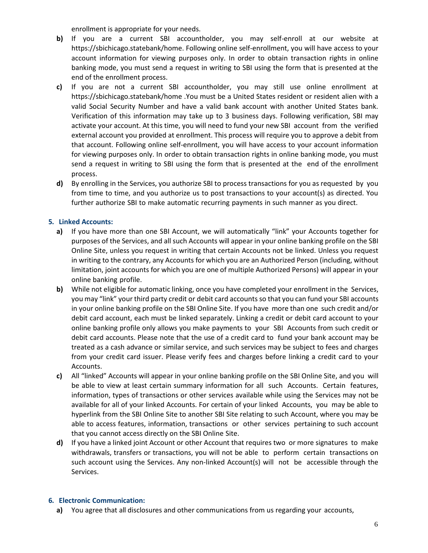enrollment is appropriate for your needs.

- **b)** If you are a current SBI accountholder, you may self-enroll at our website at https://sbichicago.statebank/home. Following online self-enrollment, you will have access to your account information for viewing purposes only. In order to obtain transaction rights in online banking mode, you must send a request in writing to SBI using the form that is presented at the end of the enrollment process.
- **c)** If you are not a current SBI accountholder, you may still use online enrollment at https://sbichicago.statebank/home .You must be a United States resident or resident alien with a valid Social Security Number and have a valid bank account with another United States bank. Verification of this information may take up to 3 business days. Following verification, SBI may activate your account. At this time, you will need to fund your new SBI account from the verified external account you provided at enrollment. This process will require you to approve a debit from that account. Following online self-enrollment, you will have access to your account information for viewing purposes only. In order to obtain transaction rights in online banking mode, you must send a request in writing to SBI using the form that is presented at the end of the enrollment process.
- **d)** By enrolling in the Services, you authorize SBI to process transactions for you as requested by you from time to time, and you authorize us to post transactions to your account(s) as directed. You further authorize SBI to make automatic recurring payments in such manner as you direct.

# <span id="page-5-0"></span>**5. Linked Accounts:**

- **a)** If you have more than one SBI Account, we will automatically "link" your Accounts together for purposes of the Services, and all such Accounts will appear in your online banking profile on the SBI Online Site, unless you request in writing that certain Accounts not be linked. Unless you request in writing to the contrary, any Accounts for which you are an Authorized Person (including, without limitation, joint accounts for which you are one of multiple Authorized Persons) will appear in your online banking profile.
- **b)** While not eligible for automatic linking, once you have completed your enrollment in the Services, you may "link" your third party credit or debit card accounts so that you can fund your SBI accounts in your online banking profile on the SBI Online Site. If you have more than one such credit and/or debit card account, each must be linked separately. Linking a credit or debit card account to your online banking profile only allows you make payments to your SBI Accounts from such credit or debit card accounts. Please note that the use of a credit card to fund your bank account may be treated as a cash advance or similar service, and such services may be subject to fees and charges from your credit card issuer. Please verify fees and charges before linking a credit card to your Accounts.
- **c)** All "linked" Accounts will appear in your online banking profile on the SBI Online Site, and you will be able to view at least certain summary information for all such Accounts. Certain features, information, types of transactions or other services available while using the Services may not be available for all of your linked Accounts. For certain of your linked Accounts, you may be able to hyperlink from the SBI Online Site to another SBI Site relating to such Account, where you may be able to access features, information, transactions or other services pertaining to such account that you cannot access directly on the SBI Online Site.
- **d)** If you have a linked joint Account or other Account that requires two or more signatures to make withdrawals, transfers or transactions, you will not be able to perform certain transactions on such account using the Services. Any non-linked Account(s) will not be accessible through the Services.

# <span id="page-5-1"></span>**6. Electronic Communication:**

**a)** You agree that all disclosures and other communications from us regarding your accounts,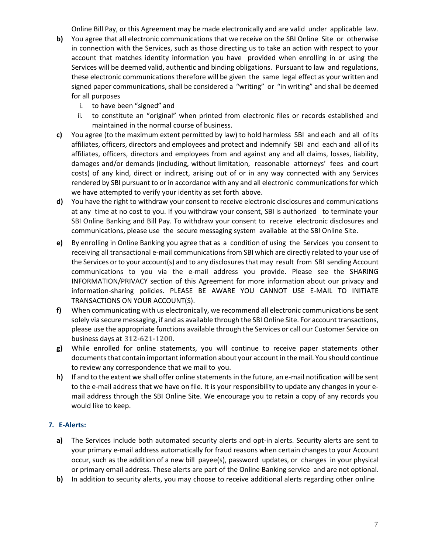Online Bill Pay, or this Agreement may be made electronically and are valid under applicable law.

- **b)** You agree that all electronic communications that we receive on the SBI Online Site or otherwise in connection with the Services, such as those directing us to take an action with respect to your account that matches identity information you have provided when enrolling in or using the Services will be deemed valid, authentic and binding obligations. Pursuant to law and regulations, these electronic communications therefore will be given the same legal effect as your written and signed paper communications, shall be considered a "writing" or "in writing" and shall be deemed for all purposes
	- i. to have been "signed" and
	- ii. to constitute an "original" when printed from electronic files or records established and maintained in the normal course of business.
- **c)** You agree (to the maximum extent permitted by law) to hold harmless SBI and each and all of its affiliates, officers, directors and employees and protect and indemnify SBI and each and all of its affiliates, officers, directors and employees from and against any and all claims, losses, liability, damages and/or demands (including, without limitation, reasonable attorneys' fees and court costs) of any kind, direct or indirect, arising out of or in any way connected with any Services rendered by SBI pursuant to or in accordance with any and all electronic communications for which we have attempted to verify your identity as set forth above.
- **d)** You have the right to withdraw your consent to receive electronic disclosures and communications at any time at no cost to you. If you withdraw your consent, SBI is authorized to terminate your SBI Online Banking and Bill Pay. To withdraw your consent to receive electronic disclosures and communications, please use the secure messaging system available at the SBI Online Site.
- **e)** By enrolling in Online Banking you agree that as a condition of using the Services you consent to receiving all transactional e-mail communications from SBI which are directly related to your use of the Services or to your account(s) and to any disclosures that may result from SBI sending Account communications to you via the e-mail address you provide. Please see the SHARING INFORMATION/PRIVACY section of this Agreement for more information about our privacy and information-sharing policies. PLEASE BE AWARE YOU CANNOT USE E-MAIL TO INITIATE TRANSACTIONS ON YOUR ACCOUNT(S).
- **f)** When communicating with us electronically, we recommend all electronic communications be sent solely via secure messaging, if and as available through the SBI Online Site. For account transactions, please use the appropriate functions available through the Services or call our Customer Service on business days at **312-621-1200**.
- **g)** While enrolled for online statements, you will continue to receive paper statements other documents that contain important information about your account in the mail. You should continue to review any correspondence that we mail to you.
- **h)** If and to the extent we shall offer online statements in the future, an e-mail notification will be sent to the e-mail address that we have on file. It is your responsibility to update any changes in your email address through the SBI Online Site. We encourage you to retain a copy of any records you would like to keep.

# <span id="page-6-0"></span>**7. E-Alerts:**

- **a)** The Services include both automated security alerts and opt-in alerts. Security alerts are sent to your primary e-mail address automatically for fraud reasons when certain changes to your Account occur, such as the addition of a new bill payee(s), password updates, or changes in your physical or primary email address. These alerts are part of the Online Banking service and are not optional.
- **b)** In addition to security alerts, you may choose to receive additional alerts regarding other online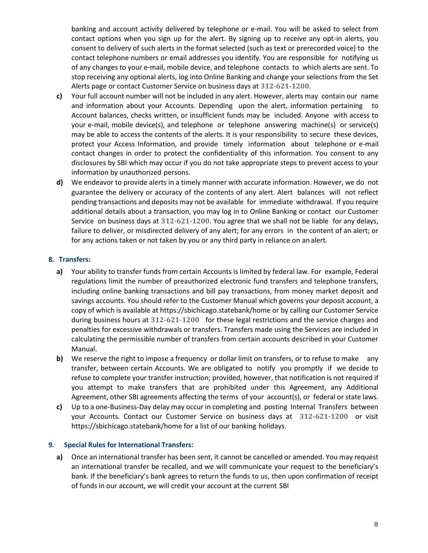banking and account activity delivered by telephone or e-mail. You will be asked to select from contact options when you sign up for the alert. By signing up to receive any opt-in alerts, you consent to delivery of such alerts in the format selected (such as text or prerecorded voice) to the contact telephone numbers or email addresses you identify. You are responsible for notifying us of any changes to your e-mail, mobile device, and telephone contacts to which alerts are sent. To stop receiving any optional alerts, log into Online Banking and change your selections from the Set Alerts page or contact Customer Service on business days at **312-621-1200**.

- **c)** Your full account number will not be included in any alert. However, alerts may contain our name and information about your Accounts. Depending upon the alert, information pertaining to Account balances, checks written, or insufficient funds may be included. Anyone with access to your e-mail, mobile device(s), and telephone or telephone answering machine(s) or service(s) may be able to access the contents of the alerts. It is your responsibility to secure these devices, protect your Access Information, and provide timely information about telephone or e-mail contact changes in order to protect the confidentiality of this information. You consent to any disclosures by SBI which may occur if you do not take appropriate steps to prevent access to your information by unauthorized persons.
- **d)** We endeavor to provide alerts in a timely manner with accurate information. However, we do not guarantee the delivery or accuracy of the contents of any alert. Alert balances will not reflect pending transactions and deposits may not be available for immediate withdrawal. If you require additional details about a transaction, you may log in to Online Banking or contact our Customer Service on business days at **312-621-1200**. You agree that we shall not be liable for any delays, failure to deliver, or misdirected delivery of any alert; for any errors in the content of an alert; or for any actions taken or not taken by you or any third party in reliance on an alert.

# <span id="page-7-0"></span>**8. Transfers:**

- **a)** Your ability to transfer funds from certain Accounts is limited by federal law. For example, Federal regulations limit the number of preauthorized electronic fund transfers and telephone transfers, including online banking transactions and bill pay transactions, from money market deposit and savings accounts. You should refer to the Customer Manual which governs your deposit account, a copy of which is available at https://sbichicago.statebank/home or by calling our Customer Service during business hours at **312-621-1200** for these legal restrictions and the service charges and penalties for excessive withdrawals or transfers. Transfers made using the Services are included in calculating the permissible number of transfers from certain accounts described in your Customer Manual.
- **b)** We reserve the right to impose a frequency or dollar limit on transfers, or to refuse to make any transfer, between certain Accounts. We are obligated to notify you promptly if we decide to refuse to complete your transfer instruction; provided, however, that notification is not required if you attempt to make transfers that are prohibited under this Agreement, any Additional Agreement, other SBI agreements affecting the terms of your account(s), or federal or state laws.
- **c)** Up to a one-Business-Day delay may occur in completing and posting Internal Transfers between your Accounts. Contact our Customer Service on business days at **312-621-1200** or visit https://sbichicago.statebank/home for a list of our banking holidays.

#### <span id="page-7-1"></span>**9. Special Rules for International Transfers:**

**a)** Once an international transfer has been sent, it cannot be cancelled or amended. You may request an international transfer be recalled, and we will communicate your request to the beneficiary's bank. If the beneficiary's bank agrees to return the funds to us, then upon confirmation of receipt of funds in our account, we will credit your account at the current SBI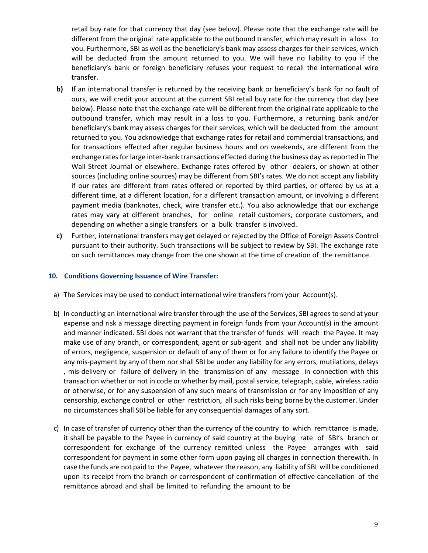retail buy rate for that currency that day (see below). Please note that the exchange rate will be different from the original rate applicable to the outbound transfer, which may result in a loss to you. Furthermore, SBI as well as the beneficiary's bank may assess charges for their services, which will be deducted from the amount returned to you. We will have no liability to you if the beneficiary's bank or foreign beneficiary refuses your request to recall the international wire transfer.

- **b)** If an international transfer is returned by the receiving bank or beneficiary's bank for no fault of ours, we will credit your account at the current SBI retail buy rate for the currency that day (see below). Please note that the exchange rate will be different from the original rate applicable to the outbound transfer, which may result in a loss to you. Furthermore, a returning bank and/or beneficiary's bank may assess charges for their services, which will be deducted from the amount returned to you. You acknowledge that exchange rates for retail and commercial transactions, and for transactions effected after regular business hours and on weekends, are different from the exchange rates for large inter-bank transactions effected during the business day as reported in The Wall Street Journal or elsewhere. Exchange rates offered by other dealers, or shown at other sources (including online sources) may be different from SBI's rates. We do not accept any liability if our rates are different from rates offered or reported by third parties, or offered by us at a different time, at a different location, for a different transaction amount, or involving a different payment media (banknotes, check, wire transfer etc.). You also acknowledge that our exchange rates may vary at different branches, for online retail customers, corporate customers, and depending on whether a single transfers or a bulk transfer is involved.
- **c)** Further, international transfers may get delayed or rejected by the Office of Foreign Assets Control pursuant to their authority. Such transactions will be subject to review by SBI. The exchange rate on such remittances may change from the one shown at the time of creation of the remittance.

#### <span id="page-8-0"></span>**10. Conditions Governing Issuance of Wire Transfer:**

- a) The Services may be used to conduct international wire transfers from your Account(s).
- b) In conducting an international wire transfer through the use of the Services, SBI agrees to send at your expense and risk a message directing payment in foreign funds from your Account(s) in the amount and manner indicated. SBI does not warrant that the transfer of funds will reach the Payee. It may make use of any branch, or correspondent, agent or sub-agent and shall not be under any liability of errors, negligence, suspension or default of any of them or for any failure to identify the Payee or any mis-payment by any of them nor shall SBI be under any liability for any errors, mutilations, delays , mis-delivery or failure of delivery in the transmission of any message in connection with this transaction whether or not in code or whether by mail, postal service, telegraph, cable, wireless radio or otherwise, or for any suspension of any such means of transmission or for any imposition of any censorship, exchange control or other restriction, all such risks being borne by the customer. Under no circumstances shall SBI be liable for any consequential damages of any sort.
- c) In case of transfer of currency other than the currency of the country to which remittance is made, it shall be payable to the Payee in currency of said country at the buying rate of SBI's branch or correspondent for exchange of the currency remitted unless the Payee arranges with said correspondent for payment in some other form upon paying all charges in connection therewith. In case the funds are not paid to the Payee, whatever the reason, any liability of SBI will be conditioned upon its receipt from the branch or correspondent of confirmation of effective cancellation of the remittance abroad and shall be limited to refunding the amount to be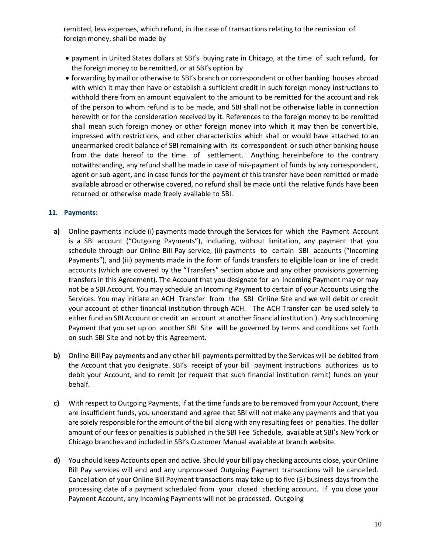remitted, less expenses, which refund, in the case of transactions relating to the remission of foreign money, shall be made by

- payment in United States dollars at SBI's buying rate in Chicago, at the time of such refund, for the foreign money to be remitted, or at SBI's option by
- forwarding by mail or otherwise to SBI's branch or correspondent or other banking houses abroad with which it may then have or establish a sufficient credit in such foreign money instructions to withhold there from an amount equivalent to the amount to be remitted for the account and risk of the person to whom refund is to be made, and SBI shall not be otherwise liable in connection herewith or for the consideration received by it. References to the foreign money to be remitted shall mean such foreign money or other foreign money into which it may then be convertible, impressed with restrictions, and other characteristics which shall or would have attached to an unearmarked credit balance of SBI remaining with its correspondent or such other banking house from the date hereof to the time of settlement. Anything hereinbefore to the contrary notwithstanding, any refund shall be made in case of mis-payment of funds by any correspondent, agent or sub-agent, and in case funds for the payment of this transfer have been remitted or made available abroad or otherwise covered, no refund shall be made until the relative funds have been returned or otherwise made freely available to SBI.

# <span id="page-9-0"></span>**11. Payments:**

- **a)** Online payments include (i) payments made through the Services for which the Payment Account is a SBI account ("Outgoing Payments"), including, without limitation, any payment that you schedule through our Online Bill Pay service, (ii) payments to certain SBI accounts ("Incoming Payments"), and (iii) payments made in the form of funds transfers to eligible loan or line of credit accounts (which are covered by the "Transfers" section above and any other provisions governing transfers in this Agreement). The Account that you designate for an Incoming Payment may or may not be a SBI Account. You may schedule an Incoming Payment to certain of your Accounts using the Services. You may initiate an ACH Transfer from the SBI Online Site and we will debit or credit your account at other financial institution through ACH. The ACH Transfer can be used solely to either fund an SBI Account or credit an account at another financial institution.). Any such Incoming Payment that you set up on another SBI Site will be governed by terms and conditions set forth on such SBI Site and not by this Agreement.
- **b)** Online Bill Pay payments and any other bill payments permitted by the Services will be debited from the Account that you designate. SBI's receipt of your bill payment instructions authorizes us to debit your Account, and to remit (or request that such financial institution remit) funds on your behalf.
- **c)** With respect to Outgoing Payments, if at the time funds are to be removed from your Account, there are insufficient funds, you understand and agree that SBI will not make any payments and that you are solely responsible for the amount of the bill along with any resulting fees or penalties. The dollar amount of our fees or penalties is published in the SBI Fee Schedule, available at SBI's New York or Chicago branches and included in SBI's Customer Manual available at branch website.
- **d)** You should keep Accounts open and active. Should your bill pay checking accounts close, your Online Bill Pay services will end and any unprocessed Outgoing Payment transactions will be cancelled. Cancellation of your Online Bill Payment transactions may take up to five (5) business days from the processing date of a payment scheduled from your closed checking account. If you close your Payment Account, any Incoming Payments will not be processed. Outgoing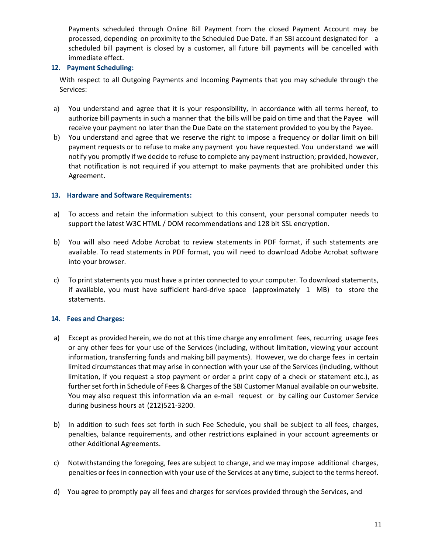Payments scheduled through Online Bill Payment from the closed Payment Account may be processed, depending on proximity to the Scheduled Due Date. If an SBI account designated for a scheduled bill payment is closed by a customer, all future bill payments will be cancelled with immediate effect.

# <span id="page-10-0"></span>**12. Payment Scheduling:**

With respect to all Outgoing Payments and Incoming Payments that you may schedule through the Services:

- a) You understand and agree that it is your responsibility, in accordance with all terms hereof, to authorize bill payments in such a manner that the bills will be paid on time and that the Payee will receive your payment no later than the Due Date on the statement provided to you by the Payee.
- b) You understand and agree that we reserve the right to impose a frequency or dollar limit on bill payment requests or to refuse to make any payment you have requested. You understand we will notify you promptly if we decide to refuse to complete any payment instruction; provided, however, that notification is not required if you attempt to make payments that are prohibited under this Agreement.

# <span id="page-10-1"></span>**13. Hardware and Software Requirements:**

- a) To access and retain the information subject to this consent, your personal computer needs to support the latest W3C HTML / DOM recommendations and 128 bit SSL encryption.
- b) You will also need Adobe Acrobat to review statements in PDF format, if such statements are available. To read statements in PDF format, you will need to download Adobe Acrobat software into your browser.
- c) To print statements you must have a printer connected to your computer. To download statements, if available, you must have sufficient hard-drive space (approximately 1 MB) to store the statements.

# <span id="page-10-2"></span>**14. Fees and Charges:**

- a) Except as provided herein, we do not at this time charge any enrollment fees, recurring usage fees or any other fees for your use of the Services (including, without limitation, viewing your account information, transferring funds and making bill payments). However, we do charge fees in certain limited circumstances that may arise in connection with your use of the Services (including, without limitation, if you request a stop payment or order a print copy of a check or statement etc.), as further set forth in Schedule of Fees & Charges of the SBI Customer Manual available on our website. You may also request this information via an e-mail request or by calling our Customer Service during business hours at (212)521-3200.
- b) In addition to such fees set forth in such Fee Schedule, you shall be subject to all fees, charges, penalties, balance requirements, and other restrictions explained in your account agreements or other Additional Agreements.
- c) Notwithstanding the foregoing, fees are subject to change, and we may impose additional charges, penalties or fees in connection with your use of the Services at any time, subject to the terms hereof.
- d) You agree to promptly pay all fees and charges for services provided through the Services, and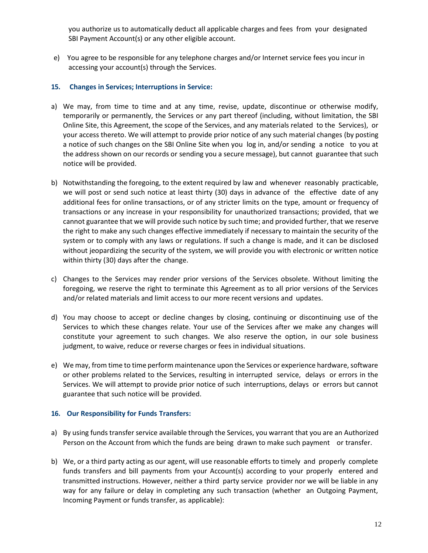you authorize us to automatically deduct all applicable charges and fees from your designated SBI Payment Account(s) or any other eligible account.

e) You agree to be responsible for any telephone charges and/or Internet service fees you incur in accessing your account(s) through the Services.

# <span id="page-11-0"></span>**15. Changes in Services; Interruptions in Service:**

- a) We may, from time to time and at any time, revise, update, discontinue or otherwise modify, temporarily or permanently, the Services or any part thereof (including, without limitation, the SBI Online Site, this Agreement, the scope of the Services, and any materials related to the Services), or your access thereto. We will attempt to provide prior notice of any such material changes (by posting a notice of such changes on the SBI Online Site when you log in, and/or sending a notice to you at the address shown on our records or sending you a secure message), but cannot guarantee that such notice will be provided.
- b) Notwithstanding the foregoing, to the extent required by law and whenever reasonably practicable, we will post or send such notice at least thirty (30) days in advance of the effective date of any additional fees for online transactions, or of any stricter limits on the type, amount or frequency of transactions or any increase in your responsibility for unauthorized transactions; provided, that we cannot guarantee that we will provide such notice by such time; and provided further, that we reserve the right to make any such changes effective immediately if necessary to maintain the security of the system or to comply with any laws or regulations. If such a change is made, and it can be disclosed without jeopardizing the security of the system, we will provide you with electronic or written notice within thirty (30) days after the change.
- c) Changes to the Services may render prior versions of the Services obsolete. Without limiting the foregoing, we reserve the right to terminate this Agreement as to all prior versions of the Services and/or related materials and limit access to our more recent versions and updates.
- d) You may choose to accept or decline changes by closing, continuing or discontinuing use of the Services to which these changes relate. Your use of the Services after we make any changes will constitute your agreement to such changes. We also reserve the option, in our sole business judgment, to waive, reduce or reverse charges or fees in individual situations.
- e) We may, from time to time perform maintenance upon the Services or experience hardware, software or other problems related to the Services, resulting in interrupted service, delays or errors in the Services. We will attempt to provide prior notice of such interruptions, delays or errors but cannot guarantee that such notice will be provided.

#### <span id="page-11-1"></span>**16. Our Responsibility for Funds Transfers:**

- a) By using funds transfer service available through the Services, you warrant that you are an Authorized Person on the Account from which the funds are being drawn to make such payment or transfer.
- b) We, or a third party acting as our agent, will use reasonable efforts to timely and properly complete funds transfers and bill payments from your Account(s) according to your properly entered and transmitted instructions. However, neither a third party service provider nor we will be liable in any way for any failure or delay in completing any such transaction (whether an Outgoing Payment, Incoming Payment or funds transfer, as applicable):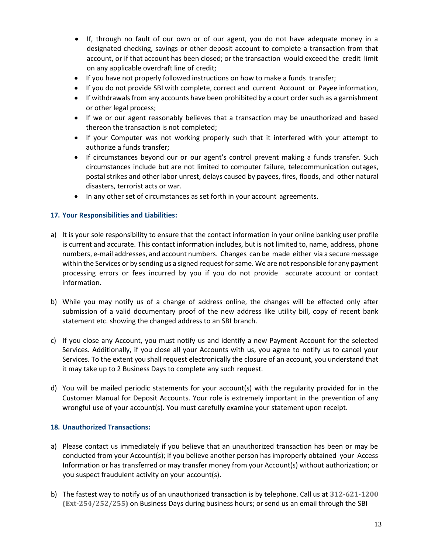- If, through no fault of our own or of our agent, you do not have adequate money in a designated checking, savings or other deposit account to complete a transaction from that account, or if that account has been closed; or the transaction would exceed the credit limit on any applicable overdraft line of credit;
- If you have not properly followed instructions on how to make a funds transfer;
- If you do not provide SBI with complete, correct and current Account or Payee information,
- If withdrawals from any accounts have been prohibited by a court order such as a garnishment or other legal process;
- If we or our agent reasonably believes that a transaction may be unauthorized and based thereon the transaction is not completed;
- If your Computer was not working properly such that it interfered with your attempt to authorize a funds transfer;
- If circumstances beyond our or our agent's control prevent making a funds transfer. Such circumstances include but are not limited to computer failure, telecommunication outages, postal strikes and other labor unrest, delays caused by payees, fires, floods, and other natural disasters, terrorist acts or war.
- In any other set of circumstances as set forth in your account agreements.

# <span id="page-12-0"></span>**17. Your Responsibilities and Liabilities:**

- a) It is your sole responsibility to ensure that the contact information in your online banking user profile is current and accurate. This contact information includes, but is not limited to, name, address, phone numbers, e-mail addresses, and account numbers. Changes can be made either via a secure message within the Services or by sending us a signed request for same. We are not responsible for any payment processing errors or fees incurred by you if you do not provide accurate account or contact information.
- b) While you may notify us of a change of address online, the changes will be effected only after submission of a valid documentary proof of the new address like utility bill, copy of recent bank statement etc. showing the changed address to an SBI branch.
- c) If you close any Account, you must notify us and identify a new Payment Account for the selected Services. Additionally, if you close all your Accounts with us, you agree to notify us to cancel your Services. To the extent you shall request electronically the closure of an account, you understand that it may take up to 2 Business Days to complete any such request.
- d) You will be mailed periodic statements for your account(s) with the regularity provided for in the Customer Manual for Deposit Accounts. Your role is extremely important in the prevention of any wrongful use of your account(s). You must carefully examine your statement upon receipt.

#### <span id="page-12-1"></span>**18. Unauthorized Transactions:**

- a) Please contact us immediately if you believe that an unauthorized transaction has been or may be conducted from your Account(s); if you believe another person has improperly obtained your Access Information or has transferred or may transfer money from your Account(s) without authorization; or you suspect fraudulent activity on your account(s).
- b) The fastest way to notify us of an unauthorized transaction is by telephone. Call us at **312-621-1200 (Ext-254/252/255)** on Business Days during business hours; or send us an email through the SBI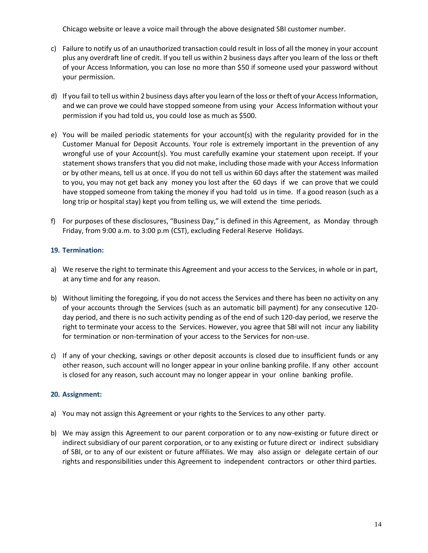Chicago website or leave a voice mail through the above designated SBI customer number.

- c) Failure to notify us of an unauthorized transaction could result in loss of all the money in your account plus any overdraft line of credit. If you tell us within 2 business days after you learn of the loss or theft of your Access Information, you can lose no more than \$50 if someone used your password without your permission.
- d) If you fail to tell us within 2 business days after you learn of the loss or theft of your Access Information, and we can prove we could have stopped someone from using your Access Information without your permission if you had told us, you could lose as much as \$500.
- e) You will be mailed periodic statements for your account(s) with the regularity provided for in the Customer Manual for Deposit Accounts. Your role is extremely important in the prevention of any wrongful use of your Account(s). You must carefully examine your statement upon receipt. If your statement shows transfers that you did not make, including those made with your Access Information or by other means, tell us at once. If you do not tell us within 60 days after the statement was mailed to you, you may not get back any money you lost after the 60 days if we can prove that we could have stopped someone from taking the money if you had told us in time. If a good reason (such as a long trip or hospital stay) kept you from telling us, we will extend the time periods.
- f) For purposes of these disclosures, "Business Day," is defined in this Agreement, as Monday through Friday, from 9:00 a.m. to 3:00 p.m (CST), excluding Federal Reserve Holidays.

# <span id="page-13-0"></span>**19. Termination:**

- a) We reserve the right to terminate this Agreement and your access to the Services, in whole or in part, at any time and for any reason.
- b) Without limiting the foregoing, if you do not access the Services and there has been no activity on any of your accounts through the Services (such as an automatic bill payment) for any consecutive 120 day period, and there is no such activity pending as of the end of such 120-day period, we reserve the right to terminate your access to the Services. However, you agree that SBI will not incur any liability for termination or non-termination of your access to the Services for non-use.
- c) If any of your checking, savings or other deposit accounts is closed due to insufficient funds or any other reason, such account will no longer appear in your online banking profile. If any other account is closed for any reason, such account may no longer appear in your online banking profile.

#### <span id="page-13-1"></span>**20. Assignment:**

- a) You may not assign this Agreement or your rights to the Services to any other party.
- b) We may assign this Agreement to our parent corporation or to any now-existing or future direct or indirect subsidiary of our parent corporation, or to any existing or future direct or indirect subsidiary of SBI, or to any of our existent or future affiliates. We may also assign or delegate certain of our rights and responsibilities under this Agreement to independent contractors or other third parties.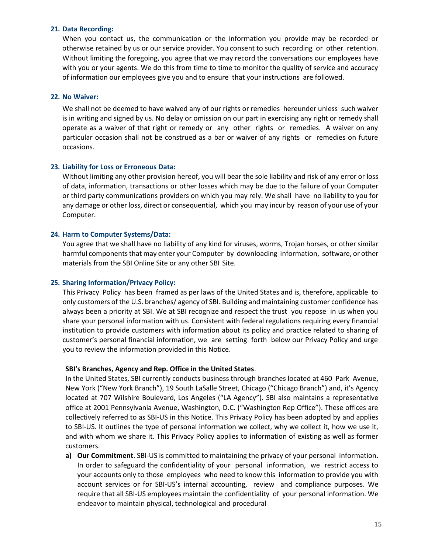#### <span id="page-14-0"></span>**21. Data Recording:**

When you contact us, the communication or the information you provide may be recorded or otherwise retained by us or our service provider. You consent to such recording or other retention. Without limiting the foregoing, you agree that we may record the conversations our employees have with you or your agents. We do this from time to time to monitor the quality of service and accuracy of information our employees give you and to ensure that your instructions are followed.

#### <span id="page-14-1"></span>**22. No Waiver:**

We shall not be deemed to have waived any of our rights or remedies hereunder unless such waiver is in writing and signed by us. No delay or omission on our part in exercising any right or remedy shall operate as a waiver of that right or remedy or any other rights or remedies. A waiver on any particular occasion shall not be construed as a bar or waiver of any rights or remedies on future occasions.

#### <span id="page-14-2"></span>**23. Liability for Loss or Erroneous Data:**

Without limiting any other provision hereof, you will bear the sole liability and risk of any error or loss of data, information, transactions or other losses which may be due to the failure of your Computer or third party communications providers on which you may rely. We shall have no liability to you for any damage or other loss, direct or consequential, which you may incur by reason of your use of your Computer.

#### <span id="page-14-3"></span>**24. Harm to Computer Systems/Data:**

You agree that we shall have no liability of any kind for viruses, worms, Trojan horses, or other similar harmful components that may enter your Computer by downloading information, software, or other materials from the SBI Online Site or any other SBI Site.

#### **25. Sharing Information/Privacy Policy:**

This Privacy Policy has been framed as per laws of the United States and is, therefore, applicable to only customers of the U.S. branches/ agency of SBI. Building and maintaining customer confidence has always been a priority at SBI. We at SBI recognize and respect the trust you repose in us when you share your personal information with us. Consistent with federal regulations requiring every financial institution to provide customers with information about its policy and practice related to sharing of customer's personal financial information, we are setting forth below our Privacy Policy and urge you to review the information provided in this Notice.

#### **SBI's Branches, Agency and Rep. Office in the United States**.

In the United States, SBI currently conducts business through branches located at 460 Park Avenue, New York ("New York Branch"), 19 South LaSalle Street, Chicago ("Chicago Branch") and, it's Agency located at 707 Wilshire Boulevard, Los Angeles ("LA Agency"). SBI also maintains a representative office at 2001 Pennsylvania Avenue, Washington, D.C. ("Washington Rep Office"). These offices are collectively referred to as SBI-US in this Notice. This Privacy Policy has been adopted by and applies to SBI-US. It outlines the type of personal information we collect, why we collect it, how we use it, and with whom we share it. This Privacy Policy applies to information of existing as well as former customers.

**a) Our Commitment**. SBI-US is committed to maintaining the privacy of your personal information. In order to safeguard the confidentiality of your personal information, we restrict access to your accounts only to those employees who need to know this information to provide you with account services or for SBI-US's internal accounting, review and compliance purposes. We require that all SBI-US employees maintain the confidentiality of your personal information. We endeavor to maintain physical, technological and procedural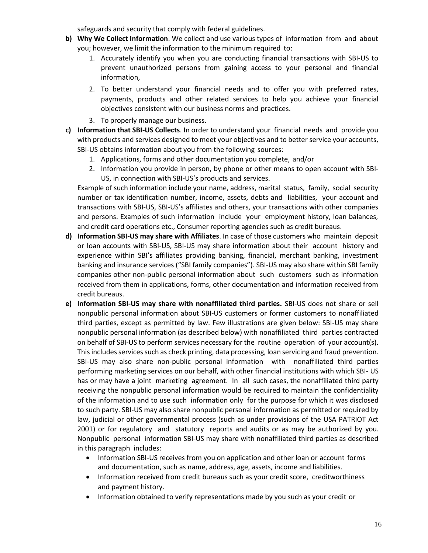safeguards and security that comply with federal guidelines.

- **b) Why We Collect Information**. We collect and use various types of information from and about you; however, we limit the information to the minimum required to:
	- 1. Accurately identify you when you are conducting financial transactions with SBI-US to prevent unauthorized persons from gaining access to your personal and financial information,
	- 2. To better understand your financial needs and to offer you with preferred rates, payments, products and other related services to help you achieve your financial objectives consistent with our business norms and practices.
	- 3. To properly manage our business.
- **c) Information that SBI-US Collects**. In order to understand your financial needs and provide you with products and services designed to meet your objectives and to better service your accounts, SBI-US obtains information about you from the following sources:
	- 1. Applications, forms and other documentation you complete, and/or
	- 2. Information you provide in person, by phone or other means to open account with SBI-US, in connection with SBI-US's products and services.

Example of such information include your name, address, marital status, family, social security number or tax identification number, income, assets, debts and liabilities, your account and transactions with SBI-US, SBI-US's affiliates and others, your transactions with other companies and persons. Examples of such information include your employment history, loan balances, and credit card operations etc., Consumer reporting agencies such as credit bureaus.

- **d) Information SBI-US may share with Affiliates**. In case of those customers who maintain deposit or loan accounts with SBI-US, SBI-US may share information about their account history and experience within SBI's affiliates providing banking, financial, merchant banking, investment banking and insurance services ("SBI family companies"). SBI-US may also share within SBI family companies other non-public personal information about such customers such as information received from them in applications, forms, other documentation and information received from credit bureaus.
- **e) Information SBI-US may share with nonaffiliated third parties.** SBI-US does not share or sell nonpublic personal information about SBI-US customers or former customers to nonaffiliated third parties, except as permitted by law. Few illustrations are given below: SBI-US may share nonpublic personal information (as described below) with nonaffiliated third parties contracted on behalf of SBI-US to perform services necessary for the routine operation of your account(s). This includes services such as check printing, data processing, loan servicing and fraud prevention. SBI-US may also share non-public personal information with nonaffiliated third parties performing marketing services on our behalf, with other financial institutions with which SBI- US has or may have a joint marketing agreement. In all such cases, the nonaffiliated third party receiving the nonpublic personal information would be required to maintain the confidentiality of the information and to use such information only for the purpose for which it was disclosed to such party. SBI-US may also share nonpublic personal information as permitted or required by law, judicial or other governmental process (such as under provisions of the USA PATRIOT Act 2001) or for regulatory and statutory reports and audits or as may be authorized by you. Nonpublic personal information SBI-US may share with nonaffiliated third parties as described in this paragraph includes:
	- Information SBI-US receives from you on application and other loan or account forms and documentation, such as name, address, age, assets, income and liabilities.
	- Information received from credit bureaus such as your credit score, creditworthiness and payment history.
	- Information obtained to verify representations made by you such as your credit or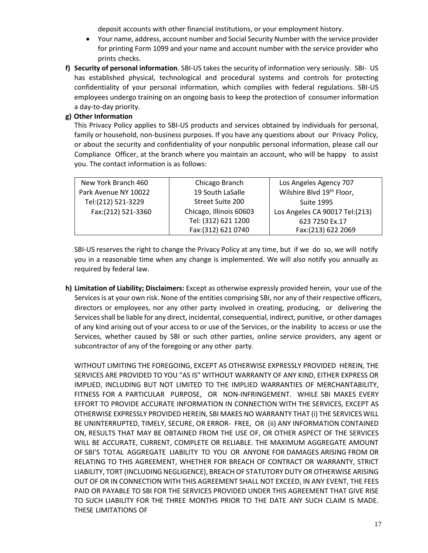deposit accounts with other financial institutions, or your employment history.

- Your name, address, account number and Social Security Number with the service provider for printing Form 1099 and your name and account number with the service provider who prints checks.
- **f) Security of personal information**. SBI-US takes the security of information very seriously. SBI- US has established physical, technological and procedural systems and controls for protecting confidentiality of your personal information, which complies with federal regulations. SBI-US employees undergo training on an ongoing basis to keep the protection of consumer information a day-to-day priority.

# **g) Other Information**

This Privacy Policy applies to SBI-US products and services obtained by individuals for personal, family or household, non-business purposes. If you have any questions about our Privacy Policy, or about the security and confidentiality of your nonpublic personal information, please call our Compliance Officer, at the branch where you maintain an account, who will be happy to assist you. The contact information is as follows:

| New York Branch 460  | Chicago Branch          | Los Angeles Agency 707                |
|----------------------|-------------------------|---------------------------------------|
| Park Avenue NY 10022 | 19 South LaSalle        | Wilshire Blvd 19 <sup>th</sup> Floor, |
| Tel:(212) 521-3229   | Street Suite 200        | <b>Suite 1995</b>                     |
| Fax:(212) 521-3360   | Chicago, Illinois 60603 | Los Angeles CA 90017 Tel:(213)        |
|                      | Tel: (312) 621 1200     | 623 7250 Ex.17                        |
|                      | Fax: (312) 621 0740     | Fax:(213) 622 2069                    |

SBI-US reserves the right to change the Privacy Policy at any time, but if we do so, we will notify you in a reasonable time when any change is implemented. We will also notify you annually as required by federal law.

**h) Limitation of Liability; Disclaimers:** Except as otherwise expressly provided herein, your use of the Services is at your own risk. None of the entities comprising SBI, nor any of their respective officers, directors or employees, nor any other party involved in creating, producing, or delivering the Services shall be liable for any direct, incidental, consequential, indirect, punitive, or other damages of any kind arising out of your access to or use of the Services, or the inability to access or use the Services, whether caused by SBI or such other parties, online service providers, any agent or subcontractor of any of the foregoing or any other party.

WITHOUT LIMITING THE FOREGOING, EXCEPT AS OTHERWISE EXPRESSLY PROVIDED HEREIN, THE SERVICES ARE PROVIDED TO YOU "AS IS" WITHOUT WARRANTY OF ANY KIND, EITHER EXPRESS OR IMPLIED, INCLUDING BUT NOT LIMITED TO THE IMPLIED WARRANTIES OF MERCHANTABILITY, FITNESS FOR A PARTICULAR PURPOSE, OR NON-INFRINGEMENT. WHILE SBI MAKES EVERY EFFORT TO PROVIDE ACCURATE INFORMATION IN CONNECTION WITH THE SERVICES, EXCEPT AS OTHERWISE EXPRESSLY PROVIDED HEREIN, SBI MAKES NO WARRANTY THAT (i) THE SERVICES WILL BE UNINTERRUPTED, TIMELY, SECURE, OR ERROR- FREE, OR (ii) ANY INFORMATION CONTAINED ON, RESULTS THAT MAY BE OBTAINED FROM THE USE OF, OR OTHER ASPECT OF THE SERVICES WILL BE ACCURATE, CURRENT, COMPLETE OR RELIABLE. THE MAXIMUM AGGREGATE AMOUNT OF SBI'S TOTAL AGGREGATE LIABILITY TO YOU OR ANYONE FOR DAMAGES ARISING FROM OR RELATING TO THIS AGREEMENT, WHETHER FOR BREACH OF CONTRACT OR WARRANTY, STRICT LIABILITY, TORT (INCLUDING NEGLIGENCE), BREACH OF STATUTORY DUTY OR OTHERWISE ARISING OUT OF OR IN CONNECTION WITH THIS AGREEMENT SHALL NOT EXCEED, IN ANY EVENT, THE FEES PAID OR PAYABLE TO SBI FOR THE SERVICES PROVIDED UNDER THIS AGREEMENT THAT GIVE RISE TO SUCH LIABILITY FOR THE THREE MONTHS PRIOR TO THE DATE ANY SUCH CLAIM IS MADE. THESE LIMITATIONS OF